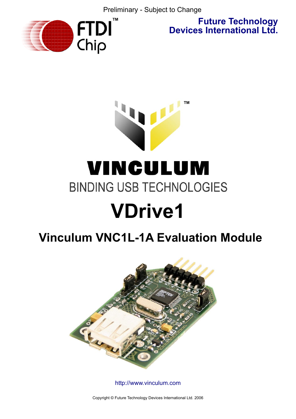Preliminary - Subject to Change



**Future Technology Devices International Ltd.**

# **™** VINCULUM **BINDING USB TECHNOLOGIES VDrive1**

# **Vinculum VNC1L-1A Evaluation Module**



<http://www.vinculum.com>

Copyright © Future Technology Devices International Ltd. 2006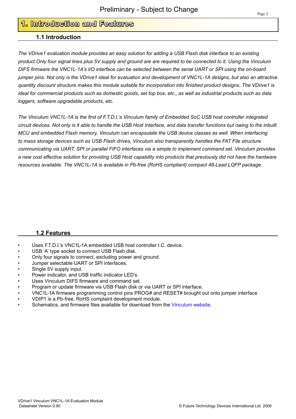# **1. Introduction and Features**

## **1.1 Introduction**

*The VDrive1 evaluation module provides an easy solution for adding a USB Flash disk interface to an existing product.Only four signal lines plus 5V supply and ground are are required to be connected to it. Using the Vinculum DIFS firmware the VNC1L-1A's I/O interface can be selected between the serial UART or SPI using the on-board jumper pins. Not only is the VDrive1 ideal for evaluation and development of VNC1L-1A designs, but also an attractive quantity discount structure makes this module suitable for incorporation into finished product designs. The VDrive1 is ideal for commercial products such as domestic goods, set top box, etc., as well as industrial products such as data loggers, software upgradable products, etc.*

*The Vinculum VNC1L-1A is the first of F.T.D.I.'s Vinculum family of Embedded SoC USB host controller integrated circuit devices. Not only is it able to handle the USB Host Interface, and data transfer functions but owing to the inbuilt MCU and embedded Flash memory, Vinculum can encapsulate the USB device classes as well. When interfacing to mass storage devices such as USB Flash drives, Vinculum also transparently handles the FAT File structure communicating via UART, SPI or parallel FIFO interfaces via a simple to implement command set. Vinculum provides a new cost effective solution for providing USB Host capability into products that previously did not have the hardware resources available. The VNC1L-1A is available in Pb-free (RoHS compliant) compact 48-Lead LQFP package.* 

## **1.2 Features**

- Uses F.T.D.I.'s VNC1L-1A embedded USB host controller I.C. device.
- USB 'A' type socket to connect USB Flash disk.
- Only four signals to connect, excluding power and ground.
- Jumper selectable UART or SPI interfaces.
- Single 5V supply input.
- Power indicator, and USB traffic indicator LED's.
- Uses Vinculum DIFS firmware and command set.
- Program or update firmware via USB Flash disk or via UART or SPI interface.
- VNC1L-1A firmware programming control pins PROG# and RESET# brought out onto jumper interface
- VDIP1 is a Pb-free, RoHS complaint development module.
- Schematics, and firmware files available for download from the [Vinculum website.](http://www.vinculum.com)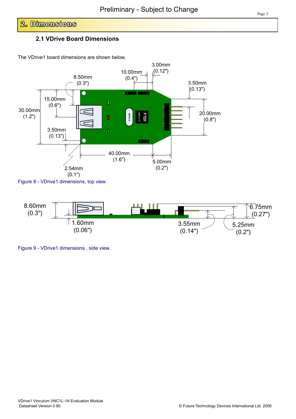# **2. Dimensions**

# **2.1 VDrive Board Dimensions**

The VDrive1 board dimensions are shown below.



Figure 8 - VDrive1 dimensions, top view.



Figure 9 - VDrive1 dimensions , side view.

© Future Technology Devices International Ltd. 2006